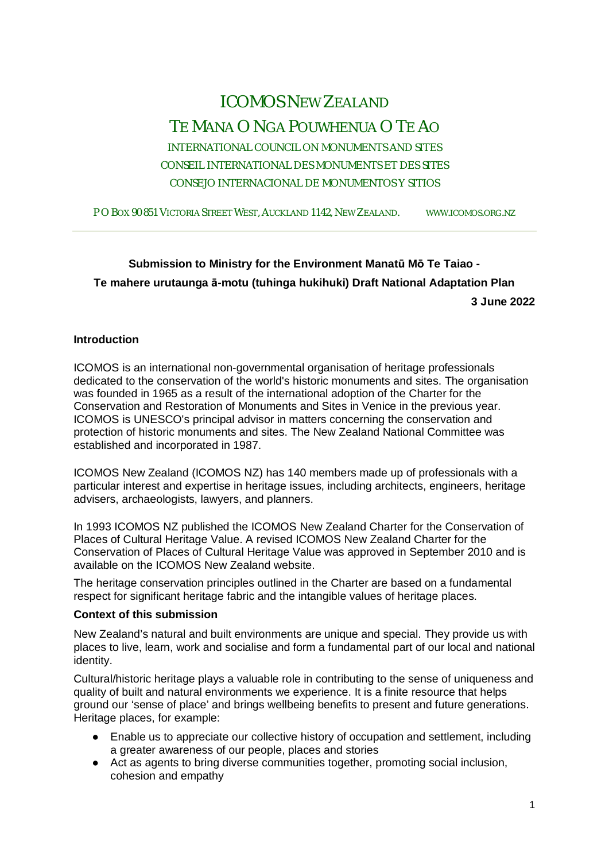# ICOMOS NEW ZEALAND TE MANA O NGA POUWHENUA O TE AO

INTERNATIONAL COUNCIL ON MONUMENTS AND SITES CONSEIL INTERNATIONAL DES MONUMENTS ET DES SITES CONSEJO INTERNACIONAL DE MONUMENTOS Y SITIOS

P O BOX 90 851 VICTORIA STREET WEST, AUCKLAND 1142, NEW ZEALAND. WWW.ICOMOS.ORG.NZ

# **Submission to Ministry for the Environment Manatū Mō Te Taiao - Te mahere urutaunga ā-motu (tuhinga hukihuki) Draft National Adaptation Plan 3 June 2022**

## **Introduction**

ICOMOS is an international non-governmental organisation of heritage professionals dedicated to the conservation of the world's historic monuments and sites. The organisation was founded in 1965 as a result of the international adoption of the Charter for the Conservation and Restoration of Monuments and Sites in Venice in the previous year. ICOMOS is UNESCO's principal advisor in matters concerning the conservation and protection of historic monuments and sites. The New Zealand National Committee was established and incorporated in 1987.

ICOMOS New Zealand (ICOMOS NZ) has 140 members made up of professionals with a particular interest and expertise in heritage issues, including architects, engineers, heritage advisers, archaeologists, lawyers, and planners.

In 1993 ICOMOS NZ published the ICOMOS New Zealand Charter for the Conservation of Places of Cultural Heritage Value. A revised ICOMOS New Zealand Charter for the Conservation of Places of Cultural Heritage Value was approved in September 2010 and is available on the ICOMOS New Zealand website.

The heritage conservation principles outlined in the Charter are based on a fundamental respect for significant heritage fabric and the intangible values of heritage places.

#### **Context of this submission**

New Zealand's natural and built environments are unique and special. They provide us with places to live, learn, work and socialise and form a fundamental part of our local and national identity.

Cultural/historic heritage plays a valuable role in contributing to the sense of uniqueness and quality of built and natural environments we experience. It is a finite resource that helps ground our 'sense of place' and brings wellbeing benefits to present and future generations. Heritage places, for example:

- Enable us to appreciate our collective history of occupation and settlement, including a greater awareness of our people, places and stories
- Act as agents to bring diverse communities together, promoting social inclusion, cohesion and empathy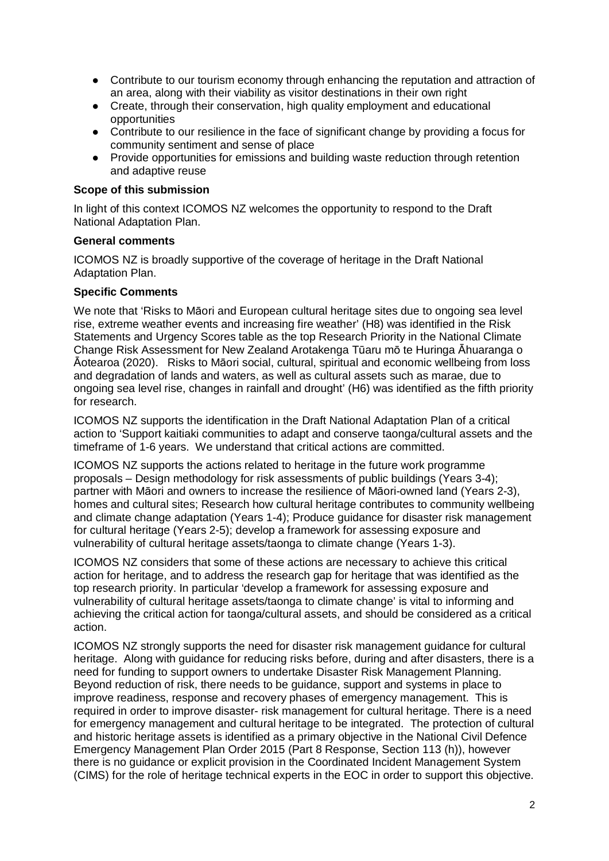- Contribute to our tourism economy through enhancing the reputation and attraction of an area, along with their viability as visitor destinations in their own right
- Create, through their conservation, high quality employment and educational opportunities
- Contribute to our resilience in the face of significant change by providing a focus for community sentiment and sense of place
- Provide opportunities for emissions and building waste reduction through retention and adaptive reuse

#### **Scope of this submission**

In light of this context ICOMOS NZ welcomes the opportunity to respond to the Draft National Adaptation Plan.

#### **General comments**

ICOMOS NZ is broadly supportive of the coverage of heritage in the Draft National Adaptation Plan.

## **Specific Comments**

We note that 'Risks to Māori and European cultural heritage sites due to ongoing sea level rise, extreme weather events and increasing fire weather' (H8) was identified in the Risk Statements and Urgency Scores table as the top Research Priority in the National Climate Change Risk Assessment for New Zealand Arotakenga Tūaru mō te Huringa Āhuaranga o Āotearoa (2020). Risks to Māori social, cultural, spiritual and economic wellbeing from loss and degradation of lands and waters, as well as cultural assets such as marae, due to ongoing sea level rise, changes in rainfall and drought' (H6) was identified as the fifth priority for research.

ICOMOS NZ supports the identification in the Draft National Adaptation Plan of a critical action to 'Support kaitiaki communities to adapt and conserve taonga/cultural assets and the timeframe of 1-6 years. We understand that critical actions are committed.

ICOMOS NZ supports the actions related to heritage in the future work programme proposals – Design methodology for risk assessments of public buildings (Years 3-4); partner with Māori and owners to increase the resilience of Māori-owned land (Years 2-3), homes and cultural sites; Research how cultural heritage contributes to community wellbeing and climate change adaptation (Years 1-4); Produce guidance for disaster risk management for cultural heritage (Years 2-5); develop a framework for assessing exposure and vulnerability of cultural heritage assets/taonga to climate change (Years 1-3).

ICOMOS NZ considers that some of these actions are necessary to achieve this critical action for heritage, and to address the research gap for heritage that was identified as the top research priority. In particular 'develop a framework for assessing exposure and vulnerability of cultural heritage assets/taonga to climate change' is vital to informing and achieving the critical action for taonga/cultural assets, and should be considered as a critical action.

ICOMOS NZ strongly supports the need for disaster risk management guidance for cultural heritage. Along with guidance for reducing risks before, during and after disasters, there is a need for funding to support owners to undertake Disaster Risk Management Planning. Beyond reduction of risk, there needs to be guidance, support and systems in place to improve readiness, response and recovery phases of emergency management. This is required in order to improve disaster- risk management for cultural heritage. There is a need for emergency management and cultural heritage to be integrated. The protection of cultural and historic heritage assets is identified as a primary objective in the National Civil Defence Emergency Management Plan Order 2015 (Part 8 Response, Section 113 (h)), however there is no guidance or explicit provision in the Coordinated Incident Management System (CIMS) for the role of heritage technical experts in the EOC in order to support this objective.